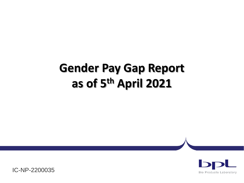# **Gender Pay Gap Report as of 5th April 2021**



IC-NP-2200035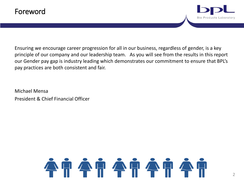

Ensuring we encourage career progression for all in our business, regardless of gender, is a key principle of our company and our leadership team. As you will see from the results in this report our Gender pay gap is industry leading which demonstrates our commitment to ensure that BPL's pay practices are both consistent and fair.

Michael Mensa President & Chief Financial Officer

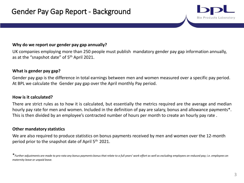#### **Why do we report our gender pay gap annually?**

UK companies employing more than 250 people must publish mandatory gender pay gap information annually, as at the "snapshot date" of 5<sup>th</sup> April 2021.

### **What is gender pay gap?**

Gender pay gap is the difference in total earnings between men and women measured over a specific pay period. At BPL we calculate the Gender pay gap over the April monthly Pay period.

#### **How is it calculated?**

There are strict rules as to how it is calculated, but essentially the metrics required are the average and median hourly pay rate for men and women. Included in the definition of pay are salary, bonus and allowance payments\*. This is then divided by an employee's contracted number of hours per month to create an hourly pay rate .

#### **Other mandatory statistics**

We are also required to produce statistics on bonus payments received by men and women over the 12-month period prior to the snapshot date of April 5<sup>th</sup> 2021.

Bio Products Laboratory

<sup>\*</sup>*Further adjustments are made to pro-rata any bonus payments bonus that relate to a full years' work effort as well as excluding employees on reduced pay; i.e. employees on maternity leave or unpaid leave.*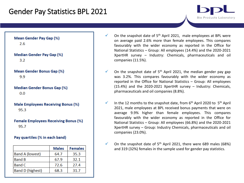## Gender Pay Statistics BPL 2021

Mean Gender Pay Gap (%)  $2.6$ 

**Median Gender Pay Gap (%)**  $3.2^{\circ}$ 

**Mean Gender Bonus Gap (%)** 9.9

**Median Gender Bonus Gap (%)**  $0.0$ 

**Male Employees Receiving Bonus (%)** 95.3

**Female Employees Receiving Bonus (%)** 95.7

#### Pay quartiles (% in each band)

|                         | <b>Males</b> | <b>Females</b> |
|-------------------------|--------------|----------------|
| <b>Band A (lowest)</b>  | 64.7         | 35.3           |
| <b>Band B</b>           | 67.9         | 32.1           |
| <b>Band C</b>           | 72.6         | 27.4           |
| <b>Band D (highest)</b> | 68.3         | 31.7           |

 $\checkmark$  On the snapshot date of 5<sup>th</sup> April 2021, male employees at BPL were on average paid 2.6% more than female employees. This compares favourably with the wider economy as reported in the Office for National Statistics – Group: All employees (14.4%) and the 2020-2021 XpertHR survey – Industry: Chemicals, pharmaceuticals and oil companies (11.5%).

**Bio Products Laboratory** 

- $\checkmark$  On the snapshot date of 5<sup>th</sup> April 2021, the median gender pay gap was 3.2%. This compares favourably with the wider economy as reported in the Office for National Statistics – Group: All employees (15.4%) and the 2020-2021 XpertHR survey – Industry: Chemicals, pharmaceuticals and oil companies (8.8%).
- $\checkmark$  In the 12 months to the snapshot date, from 6<sup>th</sup> April 2020 to 5<sup>th</sup> April 2021, male employees at BPL received bonus payments that were on average 9.9% higher than female employees. This compares favourably with the wider economy as reported in the Office for National Statistics – Group: All employees (66.8%) and the 2020-2021 XpertHR survey – Group: Industry Chemicals, pharmaceuticals and oil companies (23.0%).
- $\checkmark$  On the snapshot date of 5<sup>th</sup> April 2021, there were 689 males (68%) and 319 (32%) females in the sample used for gender pay statistics.